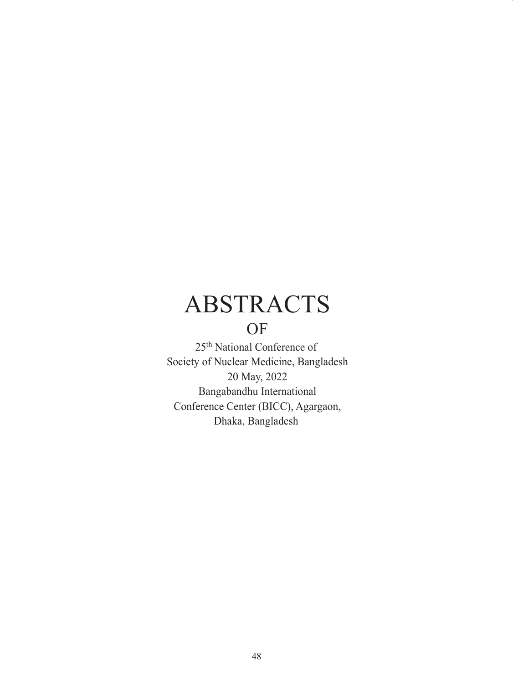# ABSTRACTS

# **OF**

25th National Conference of Society of Nuclear Medicine, Bangladesh 20 May, 2022 Bangabandhu International Conference Center (BICC), Agargaon, Dhaka, Bangladesh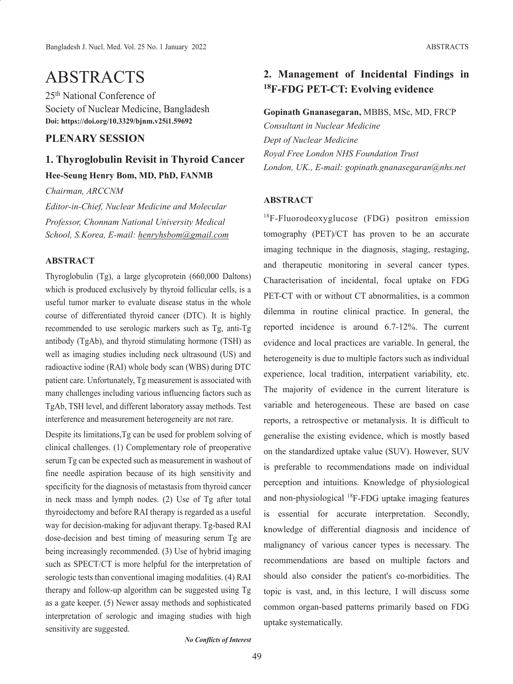## ABSTRACTS

25th National Conference of Society of Nuclear Medicine, Bangladesh **Doi: https://doi.org/10.3329/bjnm.v25i1.59692**

## **PLENARY SESSION**

## **1. Thyroglobulin Revisit in Thyroid Cancer Hee-Seung Henry Bom, MD, PhD, FANMB**

*Chairman, ARCCNM*

*Editor-in-Chief, Nuclear Medicine and Molecular Professor, Chonnam National University Medical School, S.Korea, E-mail: henryhsbom@gmail.com*

#### **ABSTRACT**

Thyroglobulin (Tg), a large glycoprotein (660,000 Daltons) which is produced exclusively by thyroid follicular cells, is a useful tumor marker to evaluate disease status in the whole course of differentiated thyroid cancer (DTC). It is highly recommended to use serologic markers such as Tg, anti-Tg antibody (TgAb), and thyroid stimulating hormone (TSH) as well as imaging studies including neck ultrasound (US) and radioactive iodine (RAI) whole body scan (WBS) during DTC patient care. Unfortunately, Tg measurement is associated with many challenges including various influencing factors such as TgAb, TSH level, and different laboratory assay methods. Test interference and measurement heterogeneity are not rare.

Despite its limitations,Tg can be used for problem solving of clinical challenges. (1) Complementary role of preoperative serum Tg can be expected such as measurement in washout of fine needle aspiration because of its high sensitivity and specificity for the diagnosis of metastasis from thyroid cancer in neck mass and lymph nodes. (2) Use of Tg after total thyroidectomy and before RAI therapy is regarded as a useful way for decision-making for adjuvant therapy. Tg-based RAI dose-decision and best timing of measuring serum Tg are being increasingly recommended. (3) Use of hybrid imaging such as SPECT/CT is more helpful for the interpretation of serologic tests than conventional imaging modalities. (4) RAI therapy and follow-up algorithm can be suggested using Tg as a gate keeper. (5) Newer assay methods and sophisticated interpretation of serologic and imaging studies with high sensitivity are suggested.

## **2. Management of Incidental Findings in 18F-FDG PET-CT: Evolving evidence**

**Gopinath Gnanasegaran,** MBBS, MSc, MD, FRCP *Consultant in Nuclear Medicine Dept of Nuclear Medicine Royal Free London NHS Foundation Trust London, UK., E-mail: gopinath.gnanasegaran@nhs.net*

#### **ABSTRACT**

18F-Fluorodeoxyglucose (FDG) positron emission tomography (PET)/CT has proven to be an accurate imaging technique in the diagnosis, staging, restaging, and therapeutic monitoring in several cancer types. Characterisation of incidental, focal uptake on FDG PET-CT with or without CT abnormalities, is a common dilemma in routine clinical practice. In general, the reported incidence is around 6.7-12%. The current evidence and local practices are variable. In general, the heterogeneity is due to multiple factors such as individual experience, local tradition, interpatient variability, etc. The majority of evidence in the current literature is variable and heterogeneous. These are based on case reports, a retrospective or metanalysis. It is difficult to generalise the existing evidence, which is mostly based on the standardized uptake value (SUV). However, SUV is preferable to recommendations made on individual perception and intuitions. Knowledge of physiological and non-physiological 18F-FDG uptake imaging features is essential for accurate interpretation. Secondly, knowledge of differential diagnosis and incidence of malignancy of various cancer types is necessary. The recommendations are based on multiple factors and should also consider the patient's co-morbidities. The topic is vast, and, in this lecture, I will discuss some common organ-based patterns primarily based on FDG uptake systematically.

*No Conflicts of Interest*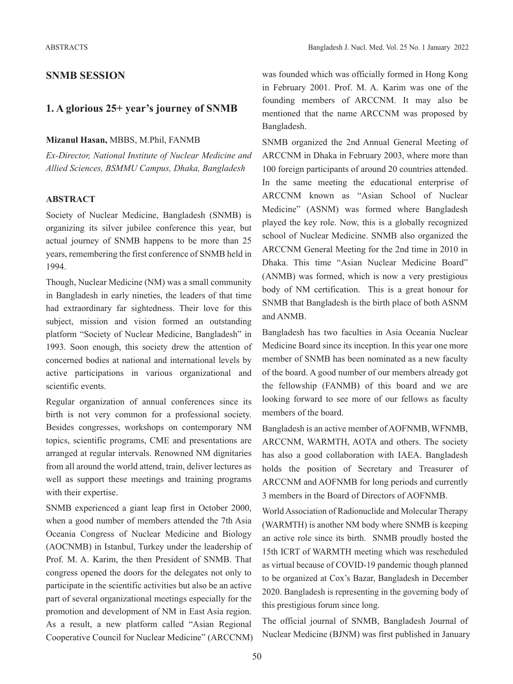#### **SNMB SESSION**

#### **1. A glorious 25+ year's journey of SNMB**

#### **Mizanul Hasan,** MBBS, M.Phil, FANMB

*Ex-Director, National Institute of Nuclear Medicine and Allied Sciences, BSMMU Campus, Dhaka, Bangladesh*

## **ABSTRACT**

Society of Nuclear Medicine, Bangladesh (SNMB) is organizing its silver jubilee conference this year, but actual journey of SNMB happens to be more than 25 years, remembering the first conference of SNMB held in 1994.

Though, Nuclear Medicine (NM) was a small community in Bangladesh in early nineties, the leaders of that time had extraordinary far sightedness. Their love for this subject, mission and vision formed an outstanding platform "Society of Nuclear Medicine, Bangladesh" in 1993. Soon enough, this society drew the attention of concerned bodies at national and international levels by active participations in various organizational and scientific events.

Regular organization of annual conferences since its birth is not very common for a professional society. Besides congresses, workshops on contemporary NM topics, scientific programs, CME and presentations are arranged at regular intervals. Renowned NM dignitaries from all around the world attend, train, deliver lectures as well as support these meetings and training programs with their expertise.

SNMB experienced a giant leap first in October 2000, when a good number of members attended the 7th Asia Oceania Congress of Nuclear Medicine and Biology (AOCNMB) in Istanbul, Turkey under the leadership of Prof. M. A. Karim, the then President of SNMB. That congress opened the doors for the delegates not only to participate in the scientific activities but also be an active part of several organizational meetings especially for the promotion and development of NM in East Asia region. As a result, a new platform called "Asian Regional Cooperative Council for Nuclear Medicine" (ARCCNM) was founded which was officially formed in Hong Kong in February 2001. Prof. M. A. Karim was one of the founding members of ARCCNM. It may also be mentioned that the name ARCCNM was proposed by Bangladesh.

SNMB organized the 2nd Annual General Meeting of ARCCNM in Dhaka in February 2003, where more than 100 foreign participants of around 20 countries attended. In the same meeting the educational enterprise of ARCCNM known as "Asian School of Nuclear Medicine" (ASNM) was formed where Bangladesh played the key role. Now, this is a globally recognized school of Nuclear Medicine. SNMB also organized the ARCCNM General Meeting for the 2nd time in 2010 in Dhaka. This time "Asian Nuclear Medicine Board" (ANMB) was formed, which is now a very prestigious body of NM certification. This is a great honour for SNMB that Bangladesh is the birth place of both ASNM and ANMB.

Bangladesh has two faculties in Asia Oceania Nuclear Medicine Board since its inception. In this year one more member of SNMB has been nominated as a new faculty of the board. A good number of our members already got the fellowship (FANMB) of this board and we are looking forward to see more of our fellows as faculty members of the board.

Bangladesh is an active member of AOFNMB, WFNMB, ARCCNM, WARMTH, AOTA and others. The society has also a good collaboration with IAEA. Bangladesh holds the position of Secretary and Treasurer of ARCCNM and AOFNMB for long periods and currently 3 members in the Board of Directors of AOFNMB.

World Association of Radionuclide and Molecular Therapy (WARMTH) is another NM body where SNMB is keeping an active role since its birth. SNMB proudly hosted the 15th ICRT of WARMTH meeting which was rescheduled as virtual because of COVID-19 pandemic though planned to be organized at Cox's Bazar, Bangladesh in December 2020. Bangladesh is representing in the governing body of this prestigious forum since long.

The official journal of SNMB, Bangladesh Journal of Nuclear Medicine (BJNM) was first published in January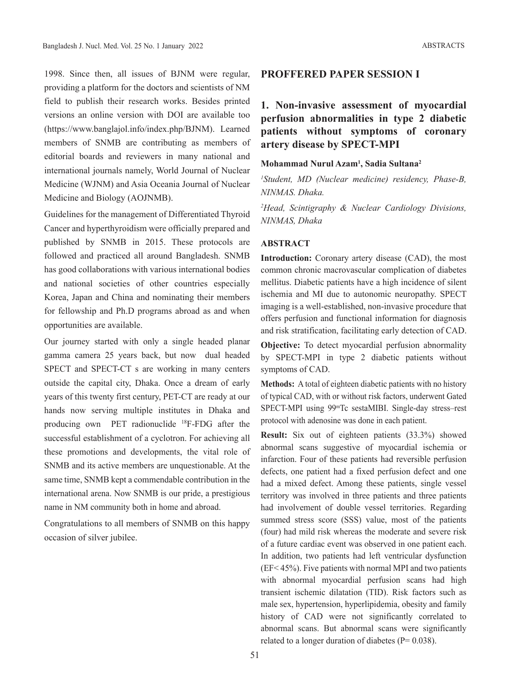1998. Since then, all issues of BJNM were regular, providing a platform for the doctors and scientists of NM field to publish their research works. Besides printed versions an online version with DOI are available too (https://www.banglajol.info/index.php/BJNM). Learned members of SNMB are contributing as members of editorial boards and reviewers in many national and international journals namely, World Journal of Nuclear Medicine (WJNM) and Asia Oceania Journal of Nuclear Medicine and Biology (AOJNMB).

Guidelines for the management of Differentiated Thyroid Cancer and hyperthyroidism were officially prepared and published by SNMB in 2015. These protocols are followed and practiced all around Bangladesh. SNMB has good collaborations with various international bodies and national societies of other countries especially Korea, Japan and China and nominating their members for fellowship and Ph.D programs abroad as and when opportunities are available.

Our journey started with only a single headed planar gamma camera 25 years back, but now dual headed SPECT and SPECT-CT s are working in many centers outside the capital city, Dhaka. Once a dream of early years of this twenty first century, PET-CT are ready at our hands now serving multiple institutes in Dhaka and producing own PET radionuclide 18F-FDG after the successful establishment of a cyclotron. For achieving all these promotions and developments, the vital role of SNMB and its active members are unquestionable. At the same time, SNMB kept a commendable contribution in the international arena. Now SNMB is our pride, a prestigious name in NM community both in home and abroad.

Congratulations to all members of SNMB on this happy occasion of silver jubilee.

#### **PROFFERED PAPER SESSION I**

## **1. Non-invasive assessment of myocardial perfusion abnormalities in type 2 diabetic patients without symptoms of coronary artery disease by SPECT-MPI**

#### **Mohammad Nurul Azam1 , Sadia Sultana2**

*1 Student, MD (Nuclear medicine) residency, Phase-B, NINMAS. Dhaka.*

*2 Head, Scintigraphy & Nuclear Cardiology Divisions, NINMAS, Dhaka*

#### **ABSTRACT**

**Introduction:** Coronary artery disease (CAD), the most common chronic macrovascular complication of diabetes mellitus. Diabetic patients have a high incidence of silent ischemia and MI due to autonomic neuropathy. SPECT imaging is a well-established, non-invasive procedure that offers perfusion and functional information for diagnosis and risk stratification, facilitating early detection of CAD.

**Objective:** To detect myocardial perfusion abnormality by SPECT-MPI in type 2 diabetic patients without symptoms of CAD.

**Methods:** A total of eighteen diabetic patients with no history of typical CAD, with or without risk factors, underwent Gated SPECT-MPI using 99mTc sestaMIBI. Single-day stress–rest protocol with adenosine was done in each patient.

**Result:** Six out of eighteen patients (33.3%) showed abnormal scans suggestive of myocardial ischemia or infarction. Four of these patients had reversible perfusion defects, one patient had a fixed perfusion defect and one had a mixed defect. Among these patients, single vessel territory was involved in three patients and three patients had involvement of double vessel territories. Regarding summed stress score (SSS) value, most of the patients (four) had mild risk whereas the moderate and severe risk of a future cardiac event was observed in one patient each. In addition, two patients had left ventricular dysfunction (EF< 45%). Five patients with normal MPI and two patients with abnormal myocardial perfusion scans had high transient ischemic dilatation (TID). Risk factors such as male sex, hypertension, hyperlipidemia, obesity and family history of CAD were not significantly correlated to abnormal scans. But abnormal scans were significantly related to a longer duration of diabetes ( $P = 0.038$ ).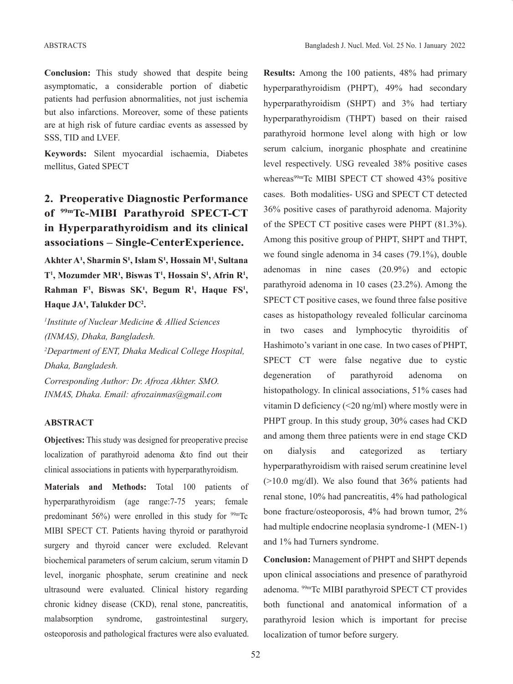**Results:** Among the 100 patients, 48% had primary

**Conclusion:** This study showed that despite being asymptomatic, a considerable portion of diabetic patients had perfusion abnormalities, not just ischemia but also infarctions. Moreover, some of these patients are at high risk of future cardiac events as assessed by SSS, TID and LVEF.

**Keywords:** Silent myocardial ischaemia, Diabetes mellitus, Gated SPECT

## **2. Preoperative Diagnostic Performance of 99mTc-MIBI Parathyroid SPECT-CT in Hyperparathyroidism and its clinical associations – Single-CenterExperience.**

**Akhter A¹, Sharmin S¹, Islam S¹, Hossain M1 , Sultana T<sup>1</sup>, Mozumder MR<sup>1</sup>, Biswas T<sup>1</sup>, Hossain S<sup>1</sup>, Afrin R<sup>1</sup>, Rahman**  $F^1$ , Biswas SK<sup>1</sup>, Begum R<sup>1</sup>, Haque FS<sup>1</sup>, **Haque JA¹, Talukder DC2 .**

*1 Institute of Nuclear Medicine & Allied Sciences (INMAS), Dhaka, Bangladesh. 2 Department of ENT, Dhaka Medical College Hospital, Dhaka, Bangladesh.*

*Corresponding Author: Dr. Afroza Akhter. SMO. INMAS, Dhaka. Email: afrozainmas@gmail.com*

#### **ABSTRACT**

**Objectives:** This study was designed for preoperative precise localization of parathyroid adenoma &to find out their clinical associations in patients with hyperparathyroidism.

**Materials and Methods:** Total 100 patients of hyperparathyroidism (age range:7-75 years; female predominant  $56\%$ ) were enrolled in this study for  $99m$ Tc MIBI SPECT CT. Patients having thyroid or parathyroid surgery and thyroid cancer were excluded. Relevant biochemical parameters of serum calcium, serum vitamin D level, inorganic phosphate, serum creatinine and neck ultrasound were evaluated. Clinical history regarding chronic kidney disease (CKD), renal stone, pancreatitis, malabsorption syndrome, gastrointestinal surgery, osteoporosis and pathological fractures were also evaluated. hyperparathyroidism (PHPT), 49% had secondary hyperparathyroidism (SHPT) and 3% had tertiary hyperparathyroidism (THPT) based on their raised parathyroid hormone level along with high or low serum calcium, inorganic phosphate and creatinine level respectively. USG revealed 38% positive cases whereas<sup>99m</sup>Tc MIBI SPECT CT showed 43% positive cases. Both modalities- USG and SPECT CT detected 36% positive cases of parathyroid adenoma. Majority of the SPECT CT positive cases were PHPT (81.3%). Among this positive group of PHPT, SHPT and THPT, we found single adenoma in 34 cases (79.1%), double adenomas in nine cases (20.9%) and ectopic parathyroid adenoma in 10 cases (23.2%). Among the SPECT CT positive cases, we found three false positive cases as histopathology revealed follicular carcinoma in two cases and lymphocytic thyroiditis of Hashimoto's variant in one case. In two cases of PHPT, SPECT CT were false negative due to cystic degeneration of parathyroid adenoma on histopathology. In clinical associations, 51% cases had vitamin D deficiency (<20 ng/ml) where mostly were in PHPT group. In this study group, 30% cases had CKD and among them three patients were in end stage CKD on dialysis and categorized as tertiary hyperparathyroidism with raised serum creatinine level (>10.0 mg/dl). We also found that 36% patients had renal stone, 10% had pancreatitis, 4% had pathological bone fracture/osteoporosis, 4% had brown tumor, 2% had multiple endocrine neoplasia syndrome-1 (MEN-1) and 1% had Turners syndrome.

**Conclusion:** Management of PHPT and SHPT depends upon clinical associations and presence of parathyroid adenoma. 99mTc MIBI parathyroid SPECT CT provides both functional and anatomical information of a parathyroid lesion which is important for precise localization of tumor before surgery.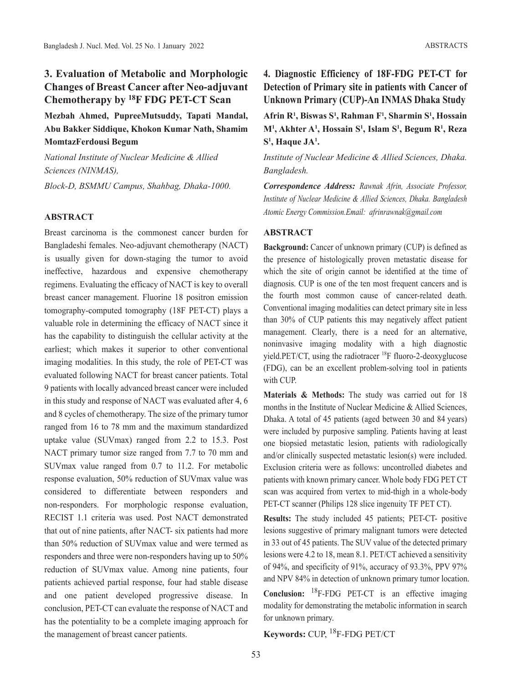## **3. Evaluation of Metabolic and Morphologic Changes of Breast Cancer after Neo-adjuvant Chemotherapy by 18F FDG PET-CT Scan**

**Mezbah Ahmed, PupreeMutsuddy, Tapati Mandal, Abu Bakker Siddique, Khokon Kumar Nath, Shamim MomtazFerdousi Begum**

*National Institute of Nuclear Medicine & Allied Sciences (NINMAS), Block-D, BSMMU Campus, Shahbag, Dhaka-1000.*

#### **ABSTRACT**

Breast carcinoma is the commonest cancer burden for Bangladeshi females. Neo-adjuvant chemotherapy (NACT) is usually given for down-staging the tumor to avoid ineffective, hazardous and expensive chemotherapy regimens. Evaluating the efficacy of NACT is key to overall breast cancer management. Fluorine 18 positron emission tomography-computed tomography (18F PET-CT) plays a valuable role in determining the efficacy of NACT since it has the capability to distinguish the cellular activity at the earliest; which makes it superior to other conventional imaging modalities. In this study, the role of PET-CT was evaluated following NACT for breast cancer patients. Total 9 patients with locally advanced breast cancer were included in this study and response of NACT was evaluated after 4, 6 and 8 cycles of chemotherapy. The size of the primary tumor ranged from 16 to 78 mm and the maximum standardized uptake value (SUVmax) ranged from 2.2 to 15.3. Post NACT primary tumor size ranged from 7.7 to 70 mm and SUVmax value ranged from 0.7 to 11.2. For metabolic response evaluation, 50% reduction of SUVmax value was considered to differentiate between responders and non-responders. For morphologic response evaluation, RECIST 1.1 criteria was used. Post NACT demonstrated that out of nine patients, after NACT- six patients had more than 50% reduction of SUVmax value and were termed as responders and three were non-responders having up to 50% reduction of SUVmax value. Among nine patients, four patients achieved partial response, four had stable disease and one patient developed progressive disease. In conclusion, PET-CT can evaluate the response of NACT and has the potentiality to be a complete imaging approach for the management of breast cancer patients.

**Unknown Primary (CUP)-An INMAS Dhaka Study Afrin R1 , Biswas S1 , Rahman F1 , Sharmin S1 , Hossain M1 , Akhter A1 , Hossain S1 , Islam S1 , Begum R1 , Reza** 

**Detection of Primary site in patients with Cancer of** 

*Institute of Nuclear Medicine & Allied Sciences, Dhaka. Bangladesh.*

*Correspondence Address: Rawnak Afrin, Associate Professor, Institute of Nuclear Medicine & Allied Sciences, Dhaka. Bangladesh Atomic Energy Commission.Email: afrinrawnak@gmail.com*

## **ABSTRACT**

**S1 , Haque JA1 .** 

**Background:** Cancer of unknown primary (CUP) is defined as the presence of histologically proven metastatic disease for which the site of origin cannot be identified at the time of diagnosis. CUP is one of the ten most frequent cancers and is the fourth most common cause of cancer-related death. Conventional imaging modalities can detect primary site in less than 30% of CUP patients this may negatively affect patient management. Clearly, there is a need for an alternative, noninvasive imaging modality with a high diagnostic yield.PET/CT, using the radiotracer <sup>18</sup>F fluoro-2-deoxyglucose (FDG), can be an excellent problem-solving tool in patients with CUP.

**Materials & Methods:** The study was carried out for 18 months in the Institute of Nuclear Medicine & Allied Sciences, Dhaka. A total of 45 patients (aged between 30 and 84 years) were included by purposive sampling. Patients having at least one biopsied metastatic lesion, patients with radiologically and/or clinically suspected metastatic lesion(s) were included. Exclusion criteria were as follows: uncontrolled diabetes and patients with known primary cancer. Whole body FDG PET CT scan was acquired from vertex to mid-thigh in a whole-body PET-CT scanner (Philips 128 slice ingenuity TF PET CT).

**Results:** The study included 45 patients; PET-CT- positive lesions suggestive of primary malignant tumors were detected in 33 out of 45 patients. The SUV value of the detected primary lesions were 4.2 to 18, mean 8.1. PET/CT achieved a sensitivity of 94%, and specificity of 91%, accuracy of 93.3%, PPV 97% and NPV 84% in detection of unknown primary tumor location.

**Conclusion:** 18F-FDG PET-CT is an effective imaging modality for demonstrating the metabolic information in search for unknown primary.

**Keywords:** CUP, 18F-FDG PET/CT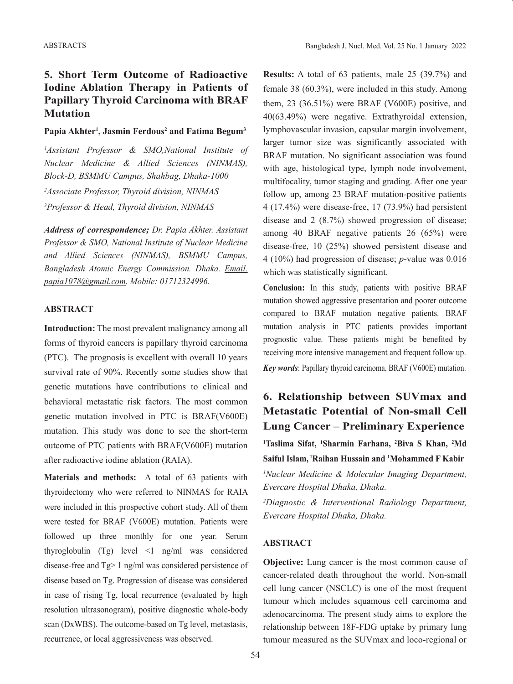## **5. Short Term Outcome of Radioactive Iodine Ablation Therapy in Patients of Papillary Thyroid Carcinoma with BRAF Mutation**

#### **Papia Akhter1 , Jasmin Ferdous2 and Fatima Begum3**

*1 Assistant Professor & SMO,National Institute of Nuclear Medicine & Allied Sciences (NINMAS), Block-D, BSMMU Campus, Shahbag, Dhaka-1000 2 Associate Professor, Thyroid division, NINMAS 3 Professor & Head, Thyroid division, NINMAS*

*Address of correspondence; Dr. Papia Akhter. Assistant Professor & SMO, National Institute of Nuclear Medicine and Allied Sciences (NINMAS), BSMMU Campus, Bangladesh Atomic Energy Commission. Dhaka. Email. papia1078@gmail.com. Mobile: 01712324996.*

## **ABSTRACT**

**Introduction:** The most prevalent malignancy among all forms of thyroid cancers is papillary thyroid carcinoma (PTC). The prognosis is excellent with overall 10 years survival rate of 90%. Recently some studies show that genetic mutations have contributions to clinical and behavioral metastatic risk factors. The most common genetic mutation involved in PTC is BRAF(V600E) mutation. This study was done to see the short-term outcome of PTC patients with BRAF(V600E) mutation after radioactive iodine ablation (RAIA).

**Materials and methods:** A total of 63 patients with thyroidectomy who were referred to NINMAS for RAIA were included in this prospective cohort study. All of them were tested for BRAF (V600E) mutation. Patients were followed up three monthly for one year. Serum thyroglobulin (Tg) level <1 ng/ml was considered disease-free and Tg> 1 ng/ml was considered persistence of disease based on Tg. Progression of disease was considered in case of rising Tg, local recurrence (evaluated by high resolution ultrasonogram), positive diagnostic whole-body scan (DxWBS). The outcome-based on Tg level, metastasis, recurrence, or local aggressiveness was observed.

**Results:** A total of 63 patients, male 25 (39.7%) and female 38 (60.3%), were included in this study. Among them, 23 (36.51%) were BRAF (V600E) positive, and 40(63.49%) were negative. Extrathyroidal extension, lymphovascular invasion, capsular margin involvement, larger tumor size was significantly associated with BRAF mutation. No significant association was found with age, histological type, lymph node involvement, multifocality, tumor staging and grading. After one year follow up, among 23 BRAF mutation-positive patients 4 (17.4%) were disease-free, 17 (73.9%) had persistent disease and 2 (8.7%) showed progression of disease; among 40 BRAF negative patients 26 (65%) were disease-free, 10 (25%) showed persistent disease and 4 (10%) had progression of disease; *p*-value was 0.016 which was statistically significant.

**Conclusion:** In this study, patients with positive BRAF mutation showed aggressive presentation and poorer outcome compared to BRAF mutation negative patients. BRAF mutation analysis in PTC patients provides important prognostic value. These patients might be benefited by receiving more intensive management and frequent follow up. *Key words*: Papillary thyroid carcinoma, BRAF (V600E) mutation.

## **6. Relationship between SUVmax and Metastatic Potential of Non-small Cell Lung Cancer – Preliminary Experience**

<sup>1</sup>Taslima Sifat, <sup>1</sup>Sharmin Farhana, <sup>2</sup>Biva S Khan, <sup>2</sup>Md **Saiful Islam, 1Raihan Hussain and 1 Mohammed F Kabir**

*1 Nuclear Medicine & Molecular Imaging Department, Evercare Hospital Dhaka, Dhaka.*

*2 Diagnostic & Interventional Radiology Department, Evercare Hospital Dhaka, Dhaka.*

#### **ABSTRACT**

**Objective:** Lung cancer is the most common cause of cancer-related death throughout the world. Non-small cell lung cancer (NSCLC) is one of the most frequent tumour which includes squamous cell carcinoma and adenocarcinoma. The present study aims to explore the relationship between 18F-FDG uptake by primary lung tumour measured as the SUVmax and loco-regional or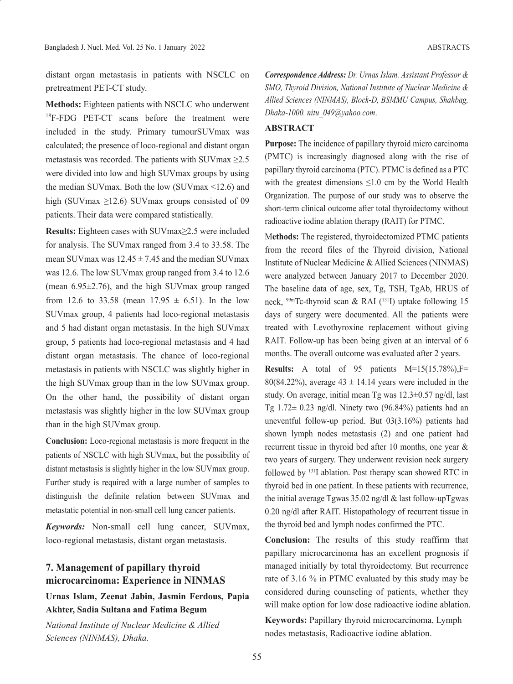distant organ metastasis in patients with NSCLC on pretreatment PET-CT study.

**Methods:** Eighteen patients with NSCLC who underwent <sup>18</sup>F-FDG PET-CT scans before the treatment were included in the study. Primary tumourSUVmax was calculated; the presence of loco-regional and distant organ metastasis was recorded. The patients with SUVmax  $\geq 2.5$ were divided into low and high SUVmax groups by using the median SUVmax. Both the low (SUVmax <12.6) and high (SUVmax  $\geq$ 12.6) SUVmax groups consisted of 09 patients. Their data were compared statistically.

**Results:** Eighteen cases with SUVmax≥2.5 were included for analysis. The SUVmax ranged from 3.4 to 33.58. The mean SUV max was  $12.45 \pm 7.45$  and the median SUV max was 12.6. The low SUVmax group ranged from 3.4 to 12.6 (mean 6.95±2.76), and the high SUVmax group ranged from 12.6 to 33.58 (mean  $17.95 \pm 6.51$ ). In the low SUVmax group, 4 patients had loco-regional metastasis and 5 had distant organ metastasis. In the high SUVmax group, 5 patients had loco-regional metastasis and 4 had distant organ metastasis. The chance of loco-regional metastasis in patients with NSCLC was slightly higher in the high SUVmax group than in the low SUVmax group. On the other hand, the possibility of distant organ metastasis was slightly higher in the low SUVmax group than in the high SUVmax group.

**Conclusion:** Loco-regional metastasis is more frequent in the patients of NSCLC with high SUVmax, but the possibility of distant metastasis is slightly higher in the low SUVmax group. Further study is required with a large number of samples to distinguish the definite relation between SUVmax and metastatic potential in non-small cell lung cancer patients.

*Keywords:* Non-small cell lung cancer, SUVmax, loco-regional metastasis, distant organ metastasis.

## **7. Management of papillary thyroid microcarcinoma: Experience in NINMAS**

## **Urnas Islam, Zeenat Jabin, Jasmin Ferdous, Papia Akhter, Sadia Sultana and Fatima Begum**

*National Institute of Nuclear Medicine & Allied Sciences (NINMAS), Dhaka.*

*Correspondence Address: Dr. Urnas Islam. Assistant Professor & SMO, Thyroid Division, National Institute of Nuclear Medicine & Allied Sciences (NINMAS), Block-D, BSMMU Campus, Shahbag, Dhaka-1000. nitu\_049@yahoo.com*.

#### **ABSTRACT**

**Purpose:** The incidence of papillary thyroid micro carcinoma (PMTC) is increasingly diagnosed along with the rise of papillary thyroid carcinoma (PTC). PTMC is defined as a PTC with the greatest dimensions ≤1.0 cm by the World Health Organization. The purpose of our study was to observe the short-term clinical outcome after total thyroidectomy without radioactive iodine ablation therapy (RAIT) for PTMC.

M**ethods:** The registered, thyroidectomized PTMC patients from the record files of the Thyroid division, National Institute of Nuclear Medicine & Allied Sciences (NINMAS) were analyzed between January 2017 to December 2020. The baseline data of age, sex, Tg, TSH, TgAb, HRUS of neck, 99mTc-thyroid scan & RAI (131I) uptake following 15 days of surgery were documented. All the patients were treated with Levothyroxine replacement without giving RAIT. Follow-up has been being given at an interval of 6 months. The overall outcome was evaluated after 2 years.

**Results:** A total of 95 patients M=15(15.78%),F= 80(84.22%), average  $43 \pm 14.14$  years were included in the study. On average, initial mean Tg was 12.3±0.57 ng/dl, last Tg  $1.72 \pm 0.23$  ng/dl. Ninety two (96.84%) patients had an uneventful follow-up period. But 03(3.16%) patients had shown lymph nodes metastasis (2) and one patient had recurrent tissue in thyroid bed after 10 months, one year & two years of surgery. They underwent revision neck surgery followed by 131I ablation. Post therapy scan showed RTC in thyroid bed in one patient. In these patients with recurrence, the initial average Tgwas 35.02 ng/dl & last follow-upTgwas 0.20 ng/dl after RAIT. Histopathology of recurrent tissue in the thyroid bed and lymph nodes confirmed the PTC.

**Conclusion:** The results of this study reaffirm that papillary microcarcinoma has an excellent prognosis if managed initially by total thyroidectomy. But recurrence rate of 3.16 % in PTMC evaluated by this study may be considered during counseling of patients, whether they will make option for low dose radioactive iodine ablation.

**Keywords:** Papillary thyroid microcarcinoma, Lymph nodes metastasis, Radioactive iodine ablation.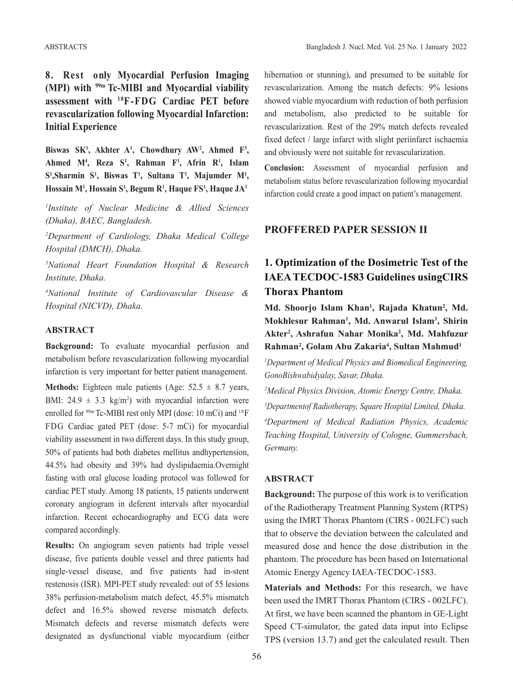**8. Rest only Myocardial Perfusion Imaging (MPI) with 99m Tc-MIBI and Myocardial viability assessment with 18F-FDG Cardiac PET before revascularization following Myocardial Infarction: Initial Experience**

Biswas SK<sup>1</sup>, Akhter A<sup>1</sup>, Chowdhury AW<sup>2</sup>, Ahmed F<sup>3</sup>, Ahmed M<sup>4</sup>, Reza S<sup>1</sup>, Rahman F<sup>1</sup>, Afrin R<sup>1</sup>, Islam S<sup>1</sup>, Sharmin S<sup>1</sup>, Biswas T<sup>1</sup>, Sultana T<sup>1</sup>, Majumder M<sup>1</sup>, **Hossain M1 , Hossain S1 , Begum R1 , Haque FS1 , Haque JA1**

*1 Institute of Nuclear Medicine & Allied Sciences (Dhaka), BAEC, Bangladesh.* 

*2 Department of Cardiology, Dhaka Medical College Hospital (DMCH), Dhaka.*

*3 National Heart Foundation Hospital & Research Institute, Dhaka.* 

*4 National Institute of Cardiovascular Disease & Hospital (NICVD), Dhaka.* 

#### **ABSTRACT**

**Background:** To evaluate myocardial perfusion and metabolism before revascularization following myocardial infarction is very important for better patient management.

**Methods:** Eighteen male patients (Age:  $52.5 \pm 8.7$  years, BMI:  $24.9 \pm 3.3$  kg/m<sup>2</sup>) with myocardial infarction were enrolled for <sup>99m</sup> Tc-MIBI rest only MPI (dose: 10 mCi) and <sup>18</sup>F FDG Cardiac gated PET (dose: 5-7 mCi) for myocardial viability assessment in two different days. In this study group, 50% of patients had both diabetes mellitus andhypertension, 44.5% had obesity and 39% had dyslipidaemia.Overnight fasting with oral glucose loading protocol was followed for cardiac PET study. Among 18 patients, 15 patients underwent coronary angiogram in deferent intervals after myocardial infarction. Recent echocardiography and ECG data were compared accordingly.

**Results:** On angiogram seven patients had triple vessel disease, five patients double vessel and three patients had single-vessel disease, and five patients had in-stent restenosis (ISR). MPI-PET study revealed: out of 55 lesions 38% perfusion-metabolism match defect, 45.5% mismatch defect and 16.5% showed reverse mismatch defects. Mismatch defects and reverse mismatch defects were designated as dysfunctional viable myocardium (either

hibernation or stunning), and presumed to be suitable for revascularization. Among the match defects: 9% lesions showed viable myocardium with reduction of both perfusion and metabolism, also predicted to be suitable for revascularization. Rest of the 29% match defects revealed fixed defect / large infarct with slight periinfarct ischaemia and obviously were not suitable for revascularization.

**Conclusion:** Assessment of myocardial perfusion and metabolism status before revascularization following myocardial infarction could create a good impact on patient's management.

#### **PROFFERED PAPER SESSION II**

## **1. Optimization of the Dosimetric Test of the IAEA TECDOC-1583 Guidelines usingCIRS Thorax Phantom**

Md. Shoorjo Islam Khan<sup>1</sup>, Rajada Khatun<sup>2</sup>, Md. **Mokhlesur Rahman1 , Md. Anwarul Islam3 , Shirin Akter2 , Ashrafun Nahar Monika2 , Md. Mahfuzur Rahman2 , Golam Abu Zakaria4 , Sultan Mahmud1**

*1 Department of Medical Physics and Biomedical Engineering, GonoBishwabidyalay, Savar, Dhaka.*

*2 Medical Physics Division, Atomic Energy Centre, Dhaka. 3 Departmentof Radiotherapy, Square Hospital Limited, Dhaka. 4 Department of Medical Radiation Physics, Academic Teaching Hospital, University of Cologne, Gummersbach, Germany.*

#### **ABSTRACT**

**Background:** The purpose of this work is to verification of the Radiotherapy Treatment Planning System (RTPS) using the IMRT Thorax Phantom (CIRS - 002LFC) such that to observe the deviation between the calculated and measured dose and hence the dose distribution in the phantom. The procedure has been based on International Atomic Energy Agency IAEA-TECDOC-1583.

**Materials and Methods:** For this research, we have been used the IMRT Thorax Phantom (CIRS - 002LFC). At first, we have been scanned the phantom in GE-Light Speed CT-simulator, the gated data input into Eclipse TPS (version 13.7) and get the calculated result. Then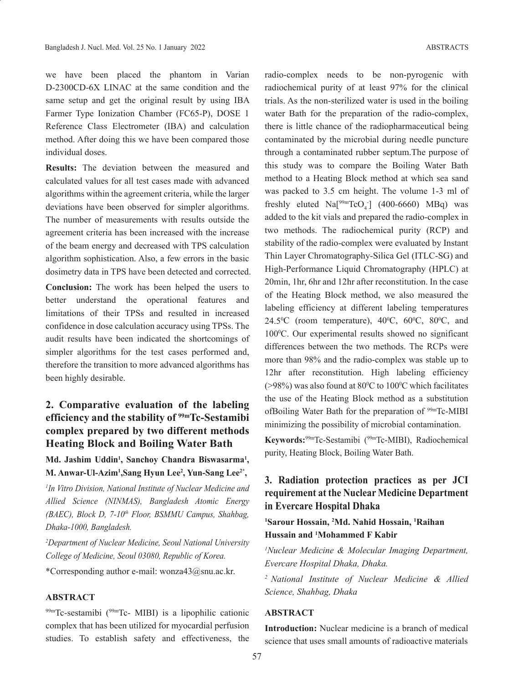we have been placed the phantom in Varian D-2300CD-6X LINAC at the same condition and the same setup and get the original result by using IBA Farmer Type Ionization Chamber (FC65-P), DOSE 1 Reference Class Electrometer (IBA) and calculation method. After doing this we have been compared those individual doses.

**Results:** The deviation between the measured and calculated values for all test cases made with advanced algorithms within the agreement criteria, while the larger deviations have been observed for simpler algorithms. The number of measurements with results outside the agreement criteria has been increased with the increase of the beam energy and decreased with TPS calculation algorithm sophistication. Also, a few errors in the basic dosimetry data in TPS have been detected and corrected.

**Conclusion:** The work has been helped the users to better understand the operational features and limitations of their TPSs and resulted in increased confidence in dose calculation accuracy using TPSs. The audit results have been indicated the shortcomings of simpler algorithms for the test cases performed and, therefore the transition to more advanced algorithms has been highly desirable.

## **2. Comparative evaluation of the labeling efficiency and the stability of 99mTc-Sestamibi complex prepared by two different methods Heating Block and Boiling Water Bath**

## Md. Jashim Uddin<sup>1</sup>, Sanchoy Chandra Biswasarma<sup>1</sup>, **M. Anwar-Ul-Azim1 ,Sang Hyun Lee2 , Yun-Sang Lee2\*,**

*1 In Vitro Division, National Institute of Nuclear Medicine and Allied Science (NINMAS), Bangladesh Atomic Energy (BAEC), Block D, 7-10th Floor, BSMMU Campus, Shahbag, Dhaka-1000, Bangladesh.* 

*2 Department of Nuclear Medicine, Seoul National University College of Medicine, Seoul 03080, Republic of Korea.* \*Corresponding author e-mail: wonza43@snu.ac.kr.

#### **ABSTRACT**

99mTc-sestamibi (99mTc- MIBI) is a lipophilic cationic complex that has been utilized for myocardial perfusion studies. To establish safety and effectiveness, the

radio-complex needs to be non-pyrogenic with radiochemical purity of at least 97% for the clinical trials. As the non-sterilized water is used in the boiling water Bath for the preparation of the radio-complex, there is little chance of the radiopharmaceutical being contaminated by the microbial during needle puncture through a contaminated rubber septum.The purpose of this study was to compare the Boiling Water Bath method to a Heating Block method at which sea sand was packed to 3.5 cm height. The volume 1-3 ml of freshly eluted  $\text{Na}[^{99\text{m}}\text{TeO}_4]$  (400-6660) MBq) was added to the kit vials and prepared the radio-complex in two methods. The radiochemical purity (RCP) and stability of the radio-complex were evaluated by Instant Thin Layer Chromatography-Silica Gel (ITLC-SG) and High-Performance Liquid Chromatography (HPLC) at 20min, 1hr, 6hr and 12hr after reconstitution. In the case of the Heating Block method, we also measured the labeling efficiency at different labeling temperatures 24.5<sup>o</sup>C (room temperature),  $40^{\circ}$ C,  $60^{\circ}$ C,  $80^{\circ}$ C, and 100°C. Our experimental results showed no significant differences between the two methods. The RCPs were more than 98% and the radio-complex was stable up to 12hr after reconstitution. High labeling efficiency ( $>98\%$ ) was also found at 80<sup>°</sup>C to 100<sup>°</sup>C which facilitates the use of the Heating Block method as a substitution ofBoiling Water Bath for the preparation of <sup>99m</sup>Tc-MIBI minimizing the possibility of microbial contamination.

**Keywords:**99mTc-Sestamibi (99mTc-MIBI), Radiochemical purity, Heating Block, Boiling Water Bath.

## **3. Radiation protection practices as per JCI requirement at the Nuclear Medicine Department in Evercare Hospital Dhaka**

**1 Sarour Hossain, 2 Md. Nahid Hossain, 1 Raihan Hussain and 1 Mohammed F Kabir**

*1 Nuclear Medicine & Molecular Imaging Department, Evercare Hospital Dhaka, Dhaka.*

*2 National Institute of Nuclear Medicine & Allied Science, Shahbag, Dhaka*

#### **ABSTRACT**

**Introduction:** Nuclear medicine is a branch of medical science that uses small amounts of radioactive materials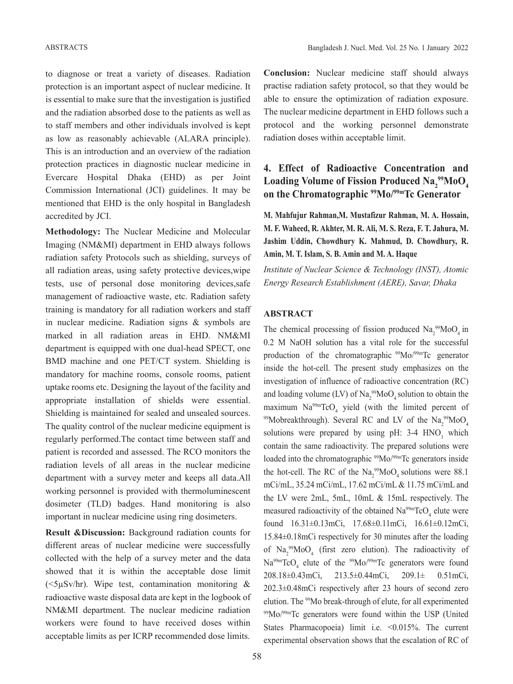to diagnose or treat a variety of diseases. Radiation protection is an important aspect of nuclear medicine. It is essential to make sure that the investigation is justified and the radiation absorbed dose to the patients as well as to staff members and other individuals involved is kept as low as reasonably achievable (ALARA principle). This is an introduction and an overview of the radiation protection practices in diagnostic nuclear medicine in Evercare Hospital Dhaka (EHD) as per Joint Commission International (JCI) guidelines. It may be mentioned that EHD is the only hospital in Bangladesh accredited by JCI.

**Methodology:** The Nuclear Medicine and Molecular Imaging (NM&MI) department in EHD always follows radiation safety Protocols such as shielding, surveys of all radiation areas, using safety protective devices,wipe tests, use of personal dose monitoring devices,safe management of radioactive waste, etc. Radiation safety training is mandatory for all radiation workers and staff in nuclear medicine. Radiation signs & symbols are marked in all radiation areas in EHD. NM&MI department is equipped with one dual-head SPECT, one BMD machine and one PET/CT system. Shielding is mandatory for machine rooms, console rooms, patient uptake rooms etc. Designing the layout of the facility and appropriate installation of shields were essential. Shielding is maintained for sealed and unsealed sources. The quality control of the nuclear medicine equipment is regularly performed.The contact time between staff and patient is recorded and assessed. The RCO monitors the radiation levels of all areas in the nuclear medicine department with a survey meter and keeps all data.All working personnel is provided with thermoluminescent dosimeter (TLD) badges. Hand monitoring is also important in nuclear medicine using ring dosimeters.

**Result &Discussion:** Background radiation counts for different areas of nuclear medicine were successfully collected with the help of a survey meter and the data showed that it is within the acceptable dose limit ( $\leq$ 5µSv/hr). Wipe test, contamination monitoring & radioactive waste disposal data are kept in the logbook of NM&MI department. The nuclear medicine radiation workers were found to have received doses within acceptable limits as per ICRP recommended dose limits.

**Conclusion:** Nuclear medicine staff should always practise radiation safety protocol, so that they would be able to ensure the optimization of radiation exposure. The nuclear medicine department in EHD follows such a protocol and the working personnel demonstrate radiation doses within acceptable limit.

## **4. Effect of Radioactive Concentration and**  Loading Volume of Fission Produced Na<sub>2</sub>99MoO<sub>4</sub> **on the Chromatographic 99Mo/99mTc Generator**

**M. Mahfujur Rahman,M. Mustafizur Rahman, M. A. Hossain, M. F. Waheed, R. Akhter, M. R. Ali, M. S. Reza, F. T. Jahura, M. Jashim Uddin, Chowdhury K. Mahmud, D. Chowdhury, R. Amin, M. T. Islam, S. B. Amin and M. A. Haque**

*Institute of Nuclear Science & Technology (INST), Atomic Energy Research Establishment (AERE), Savar, Dhaka*

#### **ABSTRACT**

The chemical processing of fission produced  $\text{Na}_2^{\text{99}}\text{MoO}_4$  in 0.2 M NaOH solution has a vital role for the successful production of the chromatographic 99Mo/99mTc generator inside the hot-cell. The present study emphasizes on the investigation of influence of radioactive concentration (RC) and loading volume (LV) of  $\text{Na}_2^{\text{99}}\text{MoO}_4$  solution to obtain the maximum  $\text{Na}^{99\text{m}}\text{TeO}_4$  yield (with the limited percent of <sup>99</sup>Mobreakthrough). Several RC and LV of the  $\text{Na}_2^{\text{99}}\text{MoO}_4$ solutions were prepared by using pH:  $3-4$  HNO<sub>3</sub> which contain the same radioactivity. The prepared solutions were loaded into the chromatographic <sup>99</sup>Mo/<sup>99m</sup>Tc generators inside the hot-cell. The RC of the  $\text{Na}_2^{\text{99}}\text{MoO}_4$  solutions were 88.1 mCi/mL, 35.24 mCi/mL, 17.62 mCi/mL & 11.75 mCi/mL and the LV were 2mL, 5mL, 10mL & 15mL respectively. The measured radioactivity of the obtained  $\text{Na}^{99\text{m}}\text{TeO}_4$  elute were found 16.31±0.13mCi, 17.68±0.11mCi, 16.61±0.12mCi, 15.84±0.18mCi respectively for 30 minutes after the loading of Na<sub>2</sub><sup>99</sup>MoO<sub>4</sub> (first zero elution). The radioactivity of  $\text{Na}^{99\text{m}}\text{TeO}_4$  elute of the  $\text{^{99}\text{Mo}}^{99\text{m}}\text{Te}$  generators were found 208.18±0.43mCi, 213.5±0.44mCi, 209.1± 0.51mCi, 202.3±0.48mCi respectively after 23 hours of second zero elution. The 99Mo break-through of elute, for all experimented 99Mo/99mTc generators were found within the USP (United States Pharmacopoeia) limit i.e. <0.015%. The current experimental observation shows that the escalation of RC of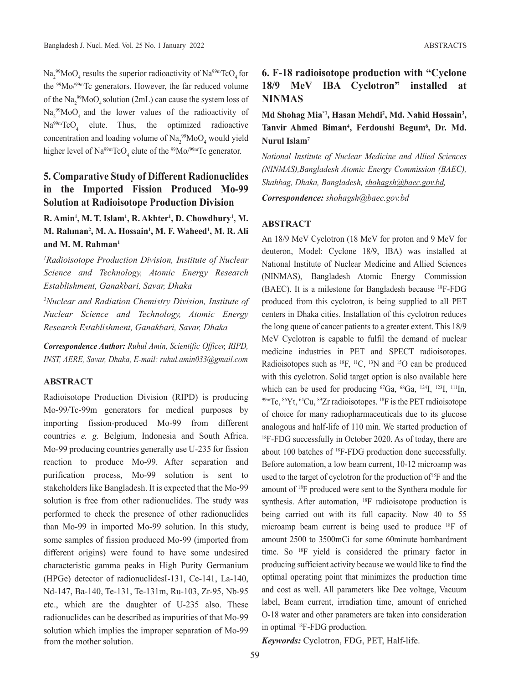$\text{Na}_2^{\text{99}}\text{MoO}_4$  results the superior radioactivity of  $\text{Na}^{\text{99m}}\text{TeO}_4$  for the 99Mo/99mTc generators. However, the far reduced volume of the  $\text{Na}_2^{\text{99}}\text{MoO}_4$  solution (2mL) can cause the system loss of  $\text{Na}_2^{\,99}\text{MoO}_4$  and the lower values of the radioactivity of  $\text{Na}^{99\text{m}}\text{TeO}_4$  elute. Thus, the optimized radioactive concentration and loading volume of  $\text{Na}_2^{\text{99}}\text{MoO}_4$  would yield higher level of Na<sup>99m</sup>TcO<sub>4</sub> elute of the <sup>99</sup>Mo/<sup>99m</sup>Tc generator.

## **5. Comparative Study of Different Radionuclides in the Imported Fission Produced Mo-99 Solution at Radioisotope Production Division**

## **R. Amin<sup>1</sup>, M. T. Islam<sup>1</sup>, R. Akhter<sup>1</sup>, D. Chowdhury<sup>1</sup>, M. M. Rahman2 , M. A. Hossain1 , M. F. Waheed1 , M. R. Ali and M. M. Rahman1**

*1 Radioisotope Production Division, Institute of Nuclear Science and Technology, Atomic Energy Research Establishment, Ganakbari, Savar, Dhaka*

*2 Nuclear and Radiation Chemistry Division, Institute of Nuclear Science and Technology, Atomic Energy Research Establishment, Ganakbari, Savar, Dhaka*

*Correspondence Author: Ruhul Amin, Scientific Officer, RIPD, INST, AERE, Savar, Dhaka, E-mail: ruhul.amin033@gmail.com*

#### **ABSTRACT**

Radioisotope Production Division (RIPD) is producing Mo-99/Tc-99m generators for medical purposes by importing fission-produced Mo-99 from different countries *e. g.* Belgium, Indonesia and South Africa. Mo-99 producing countries generally use U-235 for fission reaction to produce Mo-99. After separation and purification process, Mo-99 solution is sent to stakeholders like Bangladesh. It is expected that the Mo-99 solution is free from other radionuclides. The study was performed to check the presence of other radionuclides than Mo-99 in imported Mo-99 solution. In this study, some samples of fission produced Mo-99 (imported from different origins) were found to have some undesired characteristic gamma peaks in High Purity Germanium (HPGe) detector of radionuclidesI-131, Ce-141, La-140, Nd-147, Ba-140, Te-131, Te-131m, Ru-103, Zr-95, Nb-95 etc., which are the daughter of U-235 also. These radionuclides can be described as impurities of that Mo-99 solution which implies the improper separation of Mo-99 from the mother solution.

## **6. F-18 radioisotope production with "Cyclone 18/9 MeV IBA Cyclotron" installed at NINMAS**

**Md Shohag Mia\*1, Hasan Mehdi2 , Md. Nahid Hossain3 , Tanvir Ahmed Biman4 , Ferdoushi Begum6 , Dr. Md. Nurul Islam7**

*National Institute of Nuclear Medicine and Allied Sciences (NINMAS),Bangladesh Atomic Energy Commission (BAEC), Shahbag, Dhaka, Bangladesh, shohagsh@baec.gov.bd,*

*Correspondence: shohagsh@baec.gov.bd*

## **ABSTRACT**

An 18/9 MeV Cyclotron (18 MeV for proton and 9 MeV for deuteron, Model: Cyclone 18/9, IBA) was installed at National Institute of Nuclear Medicine and Allied Sciences (NINMAS), Bangladesh Atomic Energy Commission (BAEC). It is a milestone for Bangladesh because 18F-FDG produced from this cyclotron, is being supplied to all PET centers in Dhaka cities. Installation of this cyclotron reduces the long queue of cancer patients to a greater extent. This 18/9 MeV Cyclotron is capable to fulfil the demand of nuclear medicine industries in PET and SPECT radioisotopes. Radioisotopes such as  $^{18}F$ ,  $^{11}C$ ,  $^{13}N$  and  $^{15}O$  can be produced with this cyclotron. Solid target option is also available here which can be used for producing  ${}^{67}Ga$ ,  ${}^{68}Ga$ ,  ${}^{124}I$ ,  ${}^{123}I$ ,  ${}^{111}In$ ,  $^{99m}$ Tc,  $^{86}$ Yt,  $^{64}$ Cu,  $^{89}Zr$  radioisotopes.  $^{18}F$  is the PET radioisotope of choice for many radiopharmaceuticals due to its glucose analogous and half-life of 110 min. We started production of <sup>18</sup>F-FDG successfully in October 2020. As of today, there are about 100 batches of 18F-FDG production done successfully. Before automation, a low beam current, 10-12 microamp was used to the target of cyclotron for the production of<sup>18</sup>F and the amount of 18F produced were sent to the Synthera module for synthesis. After automation, <sup>18</sup>F radioisotope production is being carried out with its full capacity. Now 40 to 55 microamp beam current is being used to produce 18F of amount 2500 to 3500mCi for some 60minute bombardment time. So 18F yield is considered the primary factor in producing sufficient activity because we would like to find the optimal operating point that minimizes the production time and cost as well. All parameters like Dee voltage, Vacuum label, Beam current, irradiation time, amount of enriched O-18 water and other parameters are taken into consideration in optimal 18F-FDG production.

*Keywords:* Cyclotron, FDG, PET, Half-life.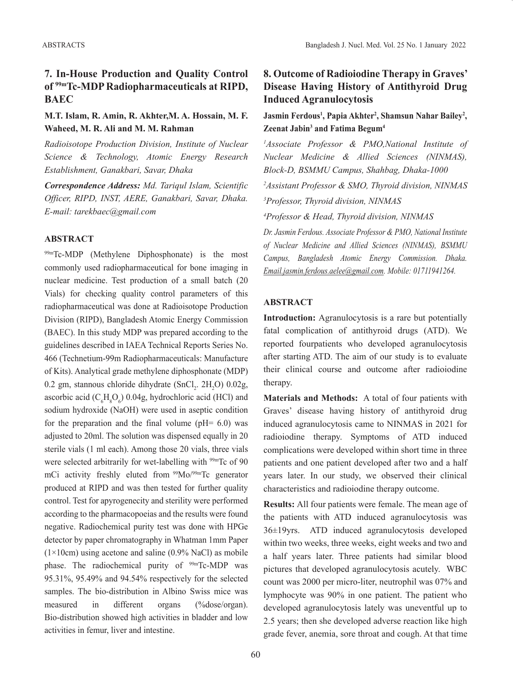## **7. In-House Production and Quality Control of 99mTc-MDP Radiopharmaceuticals at RIPD, BAEC**

## **M.T. Islam, R. Amin, R. Akhter,M. A. Hossain, M. F. Waheed, M. R. Ali and M. M. Rahman**

*Radioisotope Production Division, Institute of Nuclear Science & Technology, Atomic Energy Research Establishment, Ganakbari, Savar, Dhaka*

*Correspondence Address: Md. Tariqul Islam, Scientific Officer, RIPD, INST, AERE, Ganakbari, Savar, Dhaka. E-mail: tarekbaec@gmail.com*

## **ABSTRACT**

99mTc-MDP (Methylene Diphosphonate) is the most commonly used radiopharmaceutical for bone imaging in nuclear medicine. Test production of a small batch (20 Vials) for checking quality control parameters of this radiopharmaceutical was done at Radioisotope Production Division (RIPD), Bangladesh Atomic Energy Commission (BAEC). In this study MDP was prepared according to the guidelines described in IAEA Technical Reports Series No. 466 (Technetium-99m Radiopharmaceuticals: Manufacture of Kits). Analytical grade methylene diphosphonate (MDP) 0.2 gm, stannous chloride dihydrate  $(SnCl_2, 2H_2O)$  0.02g, ascorbic acid ( $C_6H_8O_6$ ) 0.04g, hydrochloric acid (HCl) and sodium hydroxide (NaOH) were used in aseptic condition for the preparation and the final volume ( $pH = 6.0$ ) was adjusted to 20ml. The solution was dispensed equally in 20 sterile vials (1 ml each). Among those 20 vials, three vials were selected arbitrarily for wet-labelling with <sup>99m</sup>Tc of 90 mCi activity freshly eluted from 99Mo/99mTc generator produced at RIPD and was then tested for further quality control. Test for apyrogenecity and sterility were performed according to the pharmacopoeias and the results were found negative. Radiochemical purity test was done with HPGe detector by paper chromatography in Whatman 1mm Paper  $(1\times10$ cm) using acetone and saline  $(0.9\%$  NaCl) as mobile phase. The radiochemical purity of <sup>99m</sup>Tc-MDP was 95.31%, 95.49% and 94.54% respectively for the selected samples. The bio-distribution in Albino Swiss mice was measured in different organs (%dose/organ). Bio-distribution showed high activities in bladder and low activities in femur, liver and intestine.

## **8. Outcome of Radioiodine Therapy in Graves' Disease Having History of Antithyroid Drug Induced Agranulocytosis**

## **Jasmin Ferdous1 , Papia Akhter2 , Shamsun Nahar Bailey2 , Zeenat Jabin3 and Fatima Begum4**

*1 Associate Professor & PMO,National Institute of Nuclear Medicine & Allied Sciences (NINMAS), Block-D, BSMMU Campus, Shahbag, Dhaka-1000*

*2 Assistant Professor & SMO, Thyroid division, NINMAS 3 Professor, Thyroid division, NINMAS*

*4 Professor & Head, Thyroid division, NINMAS*

*Dr. Jasmin Ferdous. Associate Professor & PMO, National Institute of Nuclear Medicine and Allied Sciences (NINMAS), BSMMU Campus, Bangladesh Atomic Energy Commission. Dhaka. Email.jasmin.ferdous.aelee@gmail.com. Mobile: 01711941264.*

## **ABSTRACT**

**Introduction:** Agranulocytosis is a rare but potentially fatal complication of antithyroid drugs (ATD). We reported fourpatients who developed agranulocytosis after starting ATD. The aim of our study is to evaluate their clinical course and outcome after radioiodine therapy.

**Materials and Methods:** A total of four patients with Graves' disease having history of antithyroid drug induced agranulocytosis came to NINMAS in 2021 for radioiodine therapy. Symptoms of ATD induced complications were developed within short time in three patients and one patient developed after two and a half years later. In our study, we observed their clinical characteristics and radioiodine therapy outcome.

**Results:** All four patients were female. The mean age of the patients with ATD induced agranulocytosis was 36±19yrs. ATD induced agranulocytosis developed within two weeks, three weeks, eight weeks and two and a half years later. Three patients had similar blood pictures that developed agranulocytosis acutely. WBC count was 2000 per micro-liter, neutrophil was 07% and lymphocyte was 90% in one patient. The patient who developed agranulocytosis lately was uneventful up to 2.5 years; then she developed adverse reaction like high grade fever, anemia, sore throat and cough. At that time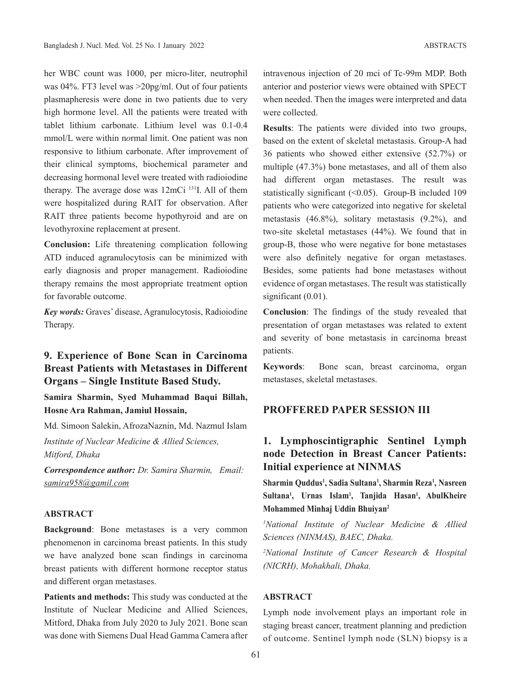her WBC count was 1000, per micro-liter, neutrophil was 04%. FT3 level was >20pg/ml. Out of four patients plasmapheresis were done in two patients due to very high hormone level. All the patients were treated with tablet lithium carbonate. Lithium level was 0.1-0.4 mmol/L were within n*o*rmal limit. One patient was non responsive to lithium carbonate. After improvement of their clinical symptoms, biochemical parameter and decreasing hormonal level were treated with radioiodine therapy. The average dose was 12mCi <sup>131</sup>I. All of them were hospitalized during RAIT for observation. After RAIT three patients become hypothyroid and are on levothyroxine replacement at present.

**Conclusion:** Life threatening complication following ATD induced agranulocytosis can be minimized with early diagnosis and proper management. Radioiodine therapy remains the most appropriate treatment option for favorable outcome.

*Key words:* Graves' disease, Agranulocytosis, Radioiodine Therapy.

## **9. Experience of Bone Scan in Carcinoma Breast Patients with Metastases in Different Organs – Single Institute Based Study.**

**Samira Sharmin, Syed Muhammad Baqui Billah, Hosne Ara Rahman, Jamiul Hossain,** 

Md. Simoon Salekin, AfrozaNaznin, Md. Nazmul Islam

*Institute of Nuclear Medicine & Allied Sciences, Mitford, Dhaka*

*Correspondence author: Dr. Samira Sharmin, Email: samira958@gamil.com*

#### **ABSTRACT**

**Background**: Bone metastases is a very common phenomenon in carcinoma breast patients. In this study we have analyzed bone scan findings in carcinoma breast patients with different hormone receptor status and different organ metastases.

**Patients and methods:** This study was conducted at the Institute of Nuclear Medicine and Allied Sciences, Mitford, Dhaka from July 2020 to July 2021. Bone scan was done with Siemens Dual Head Gamma Camera after intravenous injection of 20 mci of Tc-99m MDP. Both anterior and posterior views were obtained with SPECT when needed. Then the images were interpreted and data were collected.

**Results**: The patients were divided into two groups, based on the extent of skeletal metastasis. Group-A had 36 patients who showed either extensive (52.7%) or multiple (47.3%) bone metastases, and all of them also had different organ metastases. The result was statistically significant (<0.05). Group-B included 109 patients who were categorized into negative for skeletal metastasis (46.8%), solitary metastasis (9.2%), and two-site skeletal metastases (44%). We found that in group-B, those who were negative for bone metastases were also definitely negative for organ metastases. Besides, some patients had bone metastases without evidence of organ metastases. The result was statistically significant (0.01).

**Conclusion**: The findings of the study revealed that presentation of organ metastases was related to extent and severity of bone metastasis in carcinoma breast patients.

**Keywords**: Bone scan, breast carcinoma, organ metastases, skeletal metastases.

## **PROFFERED PAPER SESSION III**

## **1. Lymphoscintigraphic Sentinel Lymph node Detection in Breast Cancer Patients: Initial experience at NINMAS**

**Sharmin Quddus1 , Sadia Sultana1 , Sharmin Reza1 , Nasreen Sultana1 , Urnas Islam1 , Tanjida Hasan1 , AbulKheire Mohammed Minhaj Uddin Bhuiyan2**

*1 National Institute of Nuclear Medicine & Allied Sciences (NINMAS), BAEC, Dhaka.*

*2 National Institute of Cancer Research & Hospital (NICRH), Mohakhali, Dhaka.*

#### **ABSTRACT**

Lymph node involvement plays an important role in staging breast cancer, treatment planning and prediction of outcome. Sentinel lymph node (SLN) biopsy is a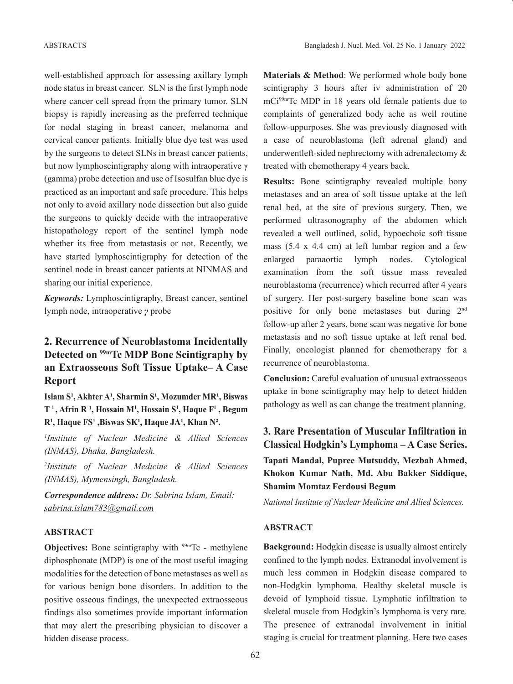well-established approach for assessing axillary lymph node status in breast cancer. SLN is the first lymph node where cancer cell spread from the primary tumor. SLN biopsy is rapidly increasing as the preferred technique for nodal staging in breast cancer, melanoma and cervical cancer patients. Initially blue dye test was used by the surgeons to detect SLNs in breast cancer patients, but now lymphoscintigraphy along with intraoperative  $\gamma$ (gamma) probe detection and use of Isosulfan blue dye is practiced as an important and safe procedure. This helps not only to avoid axillary node dissection but also guide the surgeons to quickly decide with the intraoperative histopathology report of the sentinel lymph node whether its free from metastasis or not. Recently, we have started lymphoscintigraphy for detection of the sentinel node in breast cancer patients at NINMAS and sharing our initial experience.

*Keywords:* Lymphoscintigraphy, Breast cancer, sentinel lymph node, intraoperative *γ* probe

## **2. Recurrence of Neuroblastoma Incidentally Detected on 99mTc MDP Bone Scintigraphy by an Extraosseous Soft Tissue Uptake– A Case Report**

Islam S<sup>1</sup>, Akhter A<sup>1</sup>, Sharmin S<sup>1</sup>, Mozumder MR<sup>1</sup>, Biswas **T**<sup>1</sup>, Afrin R<sup>1</sup>, Hossain M<sup>1</sup>, Hossain S<sup>1</sup>, Haque F<sup>1</sup>, Begum  $\mathbf{R}^1$ , Haque FS<sup>1</sup> ,Biswas SK<sup>1</sup>, Haque JA<sup>1</sup>, Khan N².

*1 Institute of Nuclear Medicine & Allied Sciences (INMAS), Dhaka, Bangladesh.*

*2 Institute of Nuclear Medicine & Allied Sciences (INMAS), Mymensingh, Bangladesh.*

*Correspondence address: Dr. Sabrina Islam, Email: sabrina.islam783@gmail.com*

## **ABSTRACT**

**Objectives:** Bone scintigraphy with <sup>99m</sup>Tc - methylene diphosphonate (MDP) is one of the most useful imaging modalities for the detection of bone metastases as well as for various benign bone disorders. In addition to the positive osseous findings, the unexpected extraosseous findings also sometimes provide important information that may alert the prescribing physician to discover a hidden disease process.

**Materials & Method**: We performed whole body bone scintigraphy 3 hours after iv administration of 20 mCi99mTc MDP in 18 years old female patients due to complaints of generalized body ache as well routine follow-uppurposes. She was previously diagnosed with a case of neuroblastoma (left adrenal gland) and underwentleft-sided nephrectomy with adrenalectomy & treated with chemotherapy 4 years back.

**Results:** Bone scintigraphy revealed multiple bony metastases and an area of soft tissue uptake at the left renal bed, at the site of previous surgery. Then, we performed ultrasonography of the abdomen which revealed a well outlined, solid, hypoechoic soft tissue mass (5.4 x 4.4 cm) at left lumbar region and a few enlarged paraaortic lymph nodes. Cytological examination from the soft tissue mass revealed neuroblastoma (recurrence) which recurred after 4 years of surgery. Her post-surgery baseline bone scan was positive for only bone metastases but during 2nd follow-up after 2 years, bone scan was negative for bone metastasis and no soft tissue uptake at left renal bed. Finally, oncologist planned for chemotherapy for a recurrence of neuroblastoma.

**Conclusion:** Careful evaluation of unusual extraosseous uptake in bone scintigraphy may help to detect hidden pathology as well as can change the treatment planning.

## **3. Rare Presentation of Muscular Infiltration in Classical Hodgkin's Lymphoma – A Case Series. Tapati Mandal, Pupree Mutsuddy, Mezbah Ahmed, Khokon Kumar Nath, Md. Abu Bakker Siddique, Shamim Momtaz Ferdousi Begum**

*National Institute of Nuclear Medicine and Allied Sciences.*

## **ABSTRACT**

**Background:** Hodgkin disease is usually almost entirely confined to the lymph nodes. Extranodal involvement is much less common in Hodgkin disease compared to non-Hodgkin lymphoma. Healthy skeletal muscle is devoid of lymphoid tissue. Lymphatic infiltration to skeletal muscle from Hodgkin's lymphoma is very rare. The presence of extranodal involvement in initial staging is crucial for treatment planning. Here two cases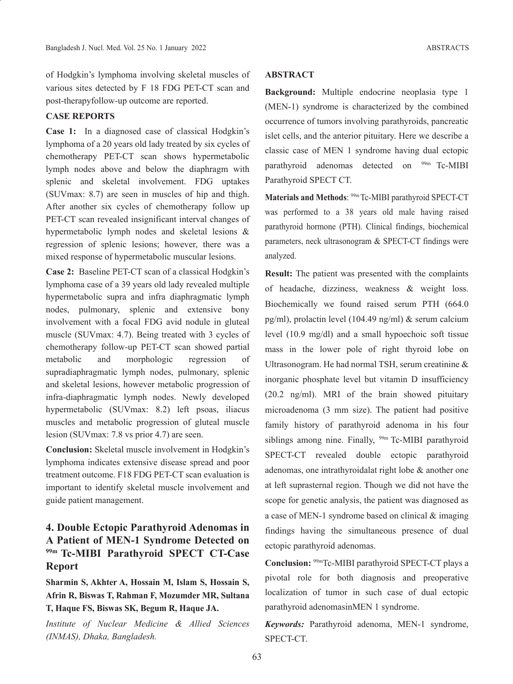of Hodgkin's lymphoma involving skeletal muscles of various sites detected by F 18 FDG PET-CT scan and post-therapyfollow-up outcome are reported.

#### **CASE REPORTS**

**Case 1:** In a diagnosed case of classical Hodgkin's lymphoma of a 20 years old lady treated by six cycles of chemotherapy PET-CT scan shows hypermetabolic lymph nodes above and below the diaphragm with splenic and skeletal involvement. FDG uptakes (SUVmax: 8.7) are seen in muscles of hip and thigh. After another six cycles of chemotherapy follow up PET-CT scan revealed insignificant interval changes of hypermetabolic lymph nodes and skeletal lesions & regression of splenic lesions; however, there was a mixed response of hypermetabolic muscular lesions.

**Case 2:** Baseline PET-CT scan of a classical Hodgkin's lymphoma case of a 39 years old lady revealed multiple hypermetabolic supra and infra diaphragmatic lymph nodes, pulmonary, splenic and extensive bony involvement with a focal FDG avid nodule in gluteal muscle (SUVmax: 4.7). Being treated with 3 cycles of chemotherapy follow-up PET-CT scan showed partial metabolic and morphologic regression of supradiaphragmatic lymph nodes, pulmonary, splenic and skeletal lesions, however metabolic progression of infra-diaphragmatic lymph nodes. Newly developed hypermetabolic (SUVmax: 8.2) left psoas, iliacus muscles and metabolic progression of gluteal muscle lesion (SUVmax: 7.8 vs prior 4.7) are seen.

**Conclusion:** Skeletal muscle involvement in Hodgkin's lymphoma indicates extensive disease spread and poor treatment outcome. F18 FDG PET-CT scan evaluation is important to identify skeletal muscle involvement and guide patient management.

## **4. Double Ectopic Parathyroid Adenomas in A Patient of MEN-1 Syndrome Detected on 99m Tc-MIBI Parathyroid SPECT CT-Case Report**

**Sharmin S, Akhter A, Hossain M, Islam S, Hossain S, Afrin R, Biswas T, Rahman F, Mozumder MR, Sultana T, Haque FS, Biswas SK, Begum R, Haque JA.**

*Institute of Nuclear Medicine & Allied Sciences (INMAS), Dhaka, Bangladesh.*

#### **ABSTRACT**

**Background:** Multiple endocrine neoplasia type 1 (MEN-1) syndrome is characterized by the combined occurrence of tumors involving parathyroids, pancreatic islet cells, and the anterior pituitary. Here we describe a classic case of MEN 1 syndrome having dual ectopic parathyroid adenomas detected on <sup>99m</sup> Tc-MIBI Parathyroid SPECT CT.

Materials and Methods: <sup>99m</sup> Tc-MIBI parathyroid SPECT-CT was performed to a 38 years old male having raised parathyroid hormone (PTH). Clinical findings, biochemical parameters, neck ultrasonogram & SPECT-CT findings were analyzed.

**Result:** The patient was presented with the complaints of headache, dizziness, weakness & weight loss. Biochemically we found raised serum PTH (664.0 pg/ml), prolactin level (104.49 ng/ml) & serum calcium level (10.9 mg/dl) and a small hypoechoic soft tissue mass in the lower pole of right thyroid lobe on Ultrasonogram. He had normal TSH, serum creatinine & inorganic phosphate level but vitamin D insufficiency (20.2 ng/ml). MRI of the brain showed pituitary microadenoma (3 mm size). The patient had positive family history of parathyroid adenoma in his four siblings among nine. Finally, <sup>99m</sup> Tc-MIBI parathyroid SPECT-CT revealed double ectopic parathyroid adenomas, one intrathyroidalat right lobe & another one at left suprasternal region. Though we did not have the scope for genetic analysis, the patient was diagnosed as a case of MEN-1 syndrome based on clinical & imaging findings having the simultaneous presence of dual ectopic parathyroid adenomas.

**Conclusion:** 99mTc-MIBI parathyroid SPECT-CT plays a pivotal role for both diagnosis and preoperative localization of tumor in such case of dual ectopic parathyroid adenomasinMEN 1 syndrome.

*Keywords:* Parathyroid adenoma, MEN-1 syndrome, SPECT-CT.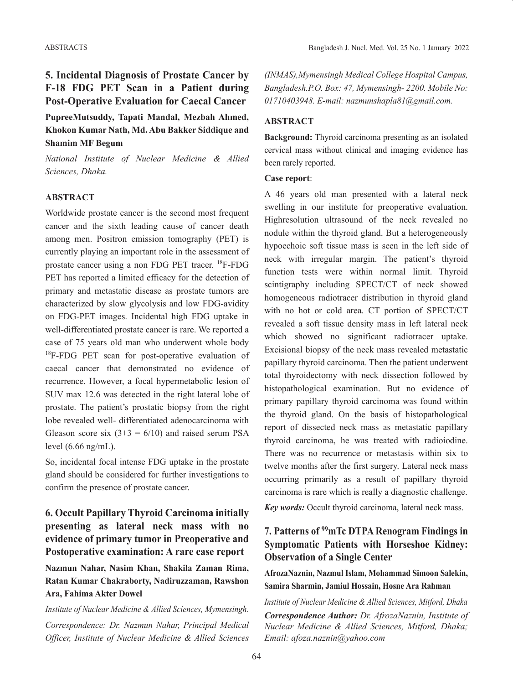## **5. Incidental Diagnosis of Prostate Cancer by F-18 FDG PET Scan in a Patient during Post-Operative Evaluation for Caecal Cancer**

**PupreeMutsuddy, Tapati Mandal, Mezbah Ahmed, Khokon Kumar Nath, Md. Abu Bakker Siddique and Shamim MF Begum** 

*National Institute of Nuclear Medicine & Allied Sciences, Dhaka.*

#### **ABSTRACT**

Worldwide prostate cancer is the second most frequent cancer and the sixth leading cause of cancer death among men. Positron emission tomography (PET) is currently playing an important role in the assessment of prostate cancer using a non FDG PET tracer. 18F-FDG PET has reported a limited efficacy for the detection of primary and metastatic disease as prostate tumors are characterized by slow glycolysis and low FDG-avidity on FDG-PET images. Incidental high FDG uptake in well-differentiated prostate cancer is rare. We reported a case of 75 years old man who underwent whole body <sup>18</sup>F-FDG PET scan for post-operative evaluation of caecal cancer that demonstrated no evidence of recurrence. However, a focal hypermetabolic lesion of SUV max 12.6 was detected in the right lateral lobe of prostate. The patient's prostatic biopsy from the right lobe revealed well- differentiated adenocarcinoma with Gleason score six  $(3+3 = 6/10)$  and raised serum PSA level (6.66 ng/mL).

So, incidental focal intense FDG uptake in the prostate gland should be considered for further investigations to confirm the presence of prostate cancer.

## **6. Occult Papillary Thyroid Carcinoma initially presenting as lateral neck mass with no evidence of primary tumor in Preoperative and Postoperative examination: A rare case report**

**Nazmun Nahar, Nasim Khan, Shakila Zaman Rima, Ratan Kumar Chakraborty, Nadiruzzaman, Rawshon Ara, Fahima Akter Dowel**

*Institute of Nuclear Medicine & Allied Sciences, Mymensingh. Correspondence: Dr. Nazmun Nahar, Principal Medical Officer, Institute of Nuclear Medicine & Allied Sciences* 

*(INMAS),Mymensingh Medical College Hospital Campus, Bangladesh.P.O. Box: 47, Mymensingh- 2200. Mobile No: 01710403948. E-mail: nazmunshapla81@gmail.com.*

#### **ABSTRACT**

**Background:** Thyroid carcinoma presenting as an isolated cervical mass without clinical and imaging evidence has been rarely reported.

#### **Case report**:

A 46 years old man presented with a lateral neck swelling in our institute for preoperative evaluation. Highresolution ultrasound of the neck revealed no nodule within the thyroid gland. But a heterogeneously hypoechoic soft tissue mass is seen in the left side of neck with irregular margin. The patient's thyroid function tests were within normal limit. Thyroid scintigraphy including SPECT/CT of neck showed homogeneous radiotracer distribution in thyroid gland with no hot or cold area. CT portion of SPECT/CT revealed a soft tissue density mass in left lateral neck which showed no significant radiotracer uptake. Excisional biopsy of the neck mass revealed metastatic papillary thyroid carcinoma. Then the patient underwent total thyroidectomy with neck dissection followed by histopathological examination. But no evidence of primary papillary thyroid carcinoma was found within the thyroid gland. On the basis of histopathological report of dissected neck mass as metastatic papillary thyroid carcinoma, he was treated with radioiodine. There was no recurrence or metastasis within six to twelve months after the first surgery. Lateral neck mass occurring primarily as a result of papillary thyroid carcinoma is rare which is really a diagnostic challenge.

*Key words:* Occult thyroid carcinoma, lateral neck mass.

## **7. Patterns of 99mTc DTPA Renogram Findings in Symptomatic Patients with Horseshoe Kidney: Observation of a Single Center**

**AfrozaNaznin, Nazmul Islam, Mohammad Simoon Salekin, Samira Sharmin, Jamiul Hossain, Hosne Ara Rahman**

*Institute of Nuclear Medicine & Allied Sciences, Mitford, Dhaka Correspondence Author: Dr. AfrozaNaznin, Institute of Nuclear Medicine & Allied Sciences, Mitford, Dhaka; Email: afoza.naznin@yahoo.com*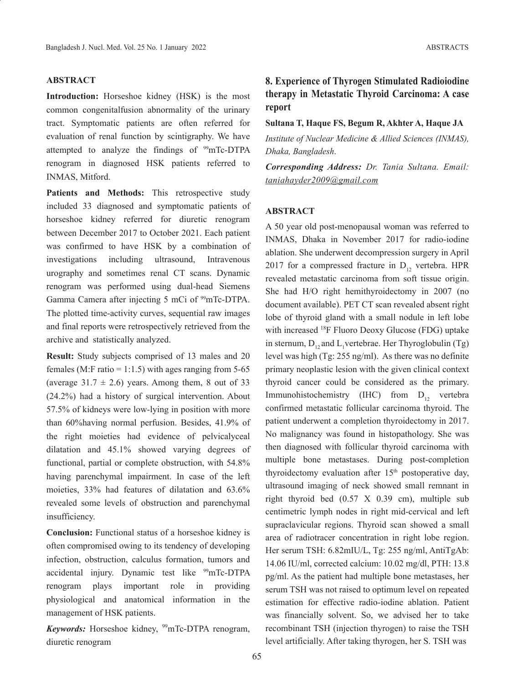## **ABSTRACT**

**Introduction:** Horseshoe kidney (HSK) is the most common congenitalfusion abnormality of the urinary tract. Symptomatic patients are often referred for evaluation of renal function by scintigraphy. We have attempted to analyze the findings of <sup>99</sup>mTc-DTPA renogram in diagnosed HSK patients referred to INMAS, Mitford.

Patients and Methods: This retrospective study included 33 diagnosed and symptomatic patients of horseshoe kidney referred for diuretic renogram between December 2017 to October 2021. Each patient was confirmed to have HSK by a combination of investigations including ultrasound, Intravenous urography and sometimes renal CT scans. Dynamic renogram was performed using dual-head Siemens Gamma Camera after injecting 5 mCi of <sup>99</sup>mTc-DTPA. The plotted time-activity curves, sequential raw images and final reports were retrospectively retrieved from the archive and statistically analyzed.

**Result:** Study subjects comprised of 13 males and 20 females (M:F ratio = 1:1.5) with ages ranging from  $5-65$ (average  $31.7 \pm 2.6$ ) years. Among them, 8 out of 33 (24.2%) had a history of surgical intervention. About 57.5% of kidneys were low-lying in position with more than 60%having normal perfusion. Besides, 41.9% of the right moieties had evidence of pelvicalyceal dilatation and 45.1% showed varying degrees of functional, partial or complete obstruction, with 54.8% having parenchymal impairment. In case of the left moieties, 33% had features of dilatation and 63.6% revealed some levels of obstruction and parenchymal insufficiency.

**Conclusion:** Functional status of a horseshoe kidney is often compromised owing to its tendency of developing infection, obstruction, calculus formation, tumors and accidental injury. Dynamic test like <sup>99</sup>mTc-DTPA renogram plays important role in providing physiological and anatomical information in the management of HSK patients.

*Keywords:* Horseshoe kidney, <sup>99</sup>mTc-DTPA renogram, diuretic renogram

## **8. Experience of Thyrogen Stimulated Radioiodine therapy in Metastatic Thyroid Carcinoma: A case report**

#### **Sultana T, Haque FS, Begum R, Akhter A, Haque JA**

*Institute of Nuclear Medicine & Allied Sciences (INMAS), Dhaka, Bangladesh*.

*Corresponding Address: Dr. Tania Sultana. Email: taniahayder2009@gmail.com*

#### **ABSTRACT**

A 50 year old post-menopausal woman was referred to INMAS, Dhaka in November 2017 for radio-iodine ablation. She underwent decompression surgery in April 2017 for a compressed fracture in  $D_{12}$  vertebra. HPR revealed metastatic carcinoma from soft tissue origin. She had H/O right hemithyroidectomy in 2007 (no document available). PET CT scan revealed absent right lobe of thyroid gland with a small nodule in left lobe with increased <sup>18</sup>F Fluoro Deoxy Glucose (FDG) uptake in sternum,  $D_{12}$  and  $L_1$ vertebrae. Her Thyroglobulin (Tg) level was high (Tg: 255 ng/ml). As there was no definite primary neoplastic lesion with the given clinical context thyroid cancer could be considered as the primary. Immunohistochemistry (IHC) from  $D_{12}$  vertebra confirmed metastatic follicular carcinoma thyroid. The patient underwent a completion thyroidectomy in 2017. No malignancy was found in histopathology. She was then diagnosed with follicular thyroid carcinoma with multiple bone metastases. During post-completion thyroidectomy evaluation after 15<sup>th</sup> postoperative day, ultrasound imaging of neck showed small remnant in right thyroid bed (0.57 X 0.39 cm), multiple sub centimetric lymph nodes in right mid-cervical and left supraclavicular regions. Thyroid scan showed a small area of radiotracer concentration in right lobe region. Her serum TSH: 6.82mIU/L, Tg: 255 ng/ml, AntiTgAb: 14.06 IU/ml, corrected calcium: 10.02 mg/dl, PTH: 13.8 pg/ml. As the patient had multiple bone metastases, her serum TSH was not raised to optimum level on repeated estimation for effective radio-iodine ablation. Patient was financially solvent. So, we advised her to take recombinant TSH (injection thyrogen) to raise the TSH level artificially. After taking thyrogen, her S. TSH was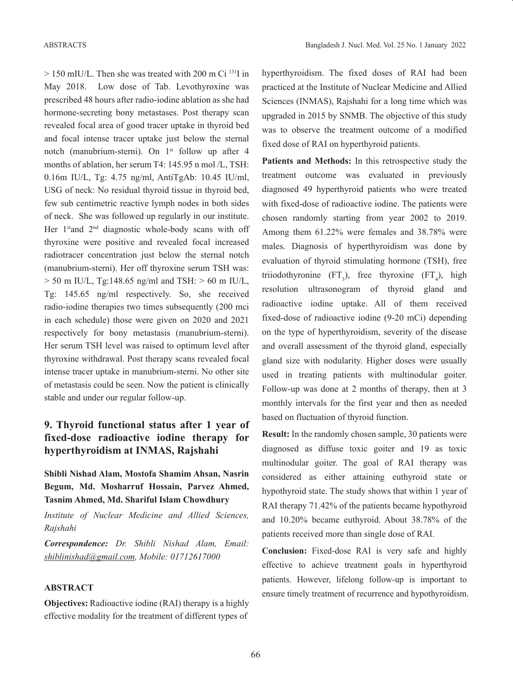> 150 mIU/L. Then she was treated with 200 m Ci 131I in May 2018. Low dose of Tab. Levothyroxine was prescribed 48 hours after radio-iodine ablation as she had hormone-secreting bony metastases. Post therapy scan revealed focal area of good tracer uptake in thyroid bed and focal intense tracer uptake just below the sternal notch (manubrium-sterni). On 1<sup>st</sup> follow up after 4 months of ablation, her serum T4: 145.95 n mol /L, TSH: 0.16m IU/L, Tg: 4.75 ng/ml, AntiTgAb: 10.45 IU/ml, USG of neck: No residual thyroid tissue in thyroid bed, few sub centimetric reactive lymph nodes in both sides of neck. She was followed up regularly in our institute. Her 1<sup>st</sup>and 2<sup>nd</sup> diagnostic whole-body scans with off thyroxine were positive and revealed focal increased radiotracer concentration just below the sternal notch (manubrium-sterni). Her off thyroxine serum TSH was:  $> 50$  m IU/L, Tg:148.65 ng/ml and TSH:  $> 60$  m IU/L, Tg: 145.65 ng/ml respectively. So, she received radio-iodine therapies two times subsequently (200 mci in each schedule) those were given on 2020 and 2021 respectively for bony metastasis (manubrium-sterni). Her serum TSH level was raised to optimum level after thyroxine withdrawal. Post therapy scans revealed focal intense tracer uptake in manubrium-sterni. No other site of metastasis could be seen. Now the patient is clinically stable and under our regular follow-up.

## **9. Thyroid functional status after 1 year of fixed-dose radioactive iodine therapy for hyperthyroidism at INMAS, Rajshahi**

**Shibli Nishad Alam, Mostofa Shamim Ahsan, Nasrin Begum, Md. Mosharruf Hossain, Parvez Ahmed, Tasnim Ahmed, Md. Shariful Islam Chowdhury**

*Institute of Nuclear Medicine and Allied Sciences, Rajshahi*

*Correspondence: Dr. Shibli Nishad Alam, Email: shiblinishad@gmail.com, Mobile: 01712617000*

#### **ABSTRACT**

**Objectives:** Radioactive iodine (RAI) therapy is a highly effective modality for the treatment of different types of

hyperthyroidism. The fixed doses of RAI had been practiced at the Institute of Nuclear Medicine and Allied Sciences (INMAS), Rajshahi for a long time which was upgraded in 2015 by SNMB. The objective of this study was to observe the treatment outcome of a modified fixed dose of RAI on hyperthyroid patients.

**Patients and Methods:** In this retrospective study the treatment outcome was evaluated in previously diagnosed 49 hyperthyroid patients who were treated with fixed-dose of radioactive iodine. The patients were chosen randomly starting from year 2002 to 2019. Among them 61.22% were females and 38.78% were males. Diagnosis of hyperthyroidism was done by evaluation of thyroid stimulating hormone (TSH), free triiodothyronine  $(FT_3)$ , free thyroxine  $(FT_4)$ , high resolution ultrasonogram of thyroid gland and radioactive iodine uptake. All of them received fixed-dose of radioactive iodine (9-20 mCi) depending on the type of hyperthyroidism, severity of the disease and overall assessment of the thyroid gland, especially gland size with nodularity. Higher doses were usually used in treating patients with multinodular goiter. Follow-up was done at 2 months of therapy, then at 3 monthly intervals for the first year and then as needed based on fluctuation of thyroid function.

**Result:** In the randomly chosen sample, 30 patients were diagnosed as diffuse toxic goiter and 19 as toxic multinodular goiter. The goal of RAI therapy was considered as either attaining euthyroid state or hypothyroid state. The study shows that within 1 year of RAI therapy 71.42% of the patients became hypothyroid and 10.20% became euthyroid. About 38.78% of the patients received more than single dose of RAI.

**Conclusion:** Fixed-dose RAI is very safe and highly effective to achieve treatment goals in hyperthyroid patients. However, lifelong follow-up is important to ensure timely treatment of recurrence and hypothyroidism.